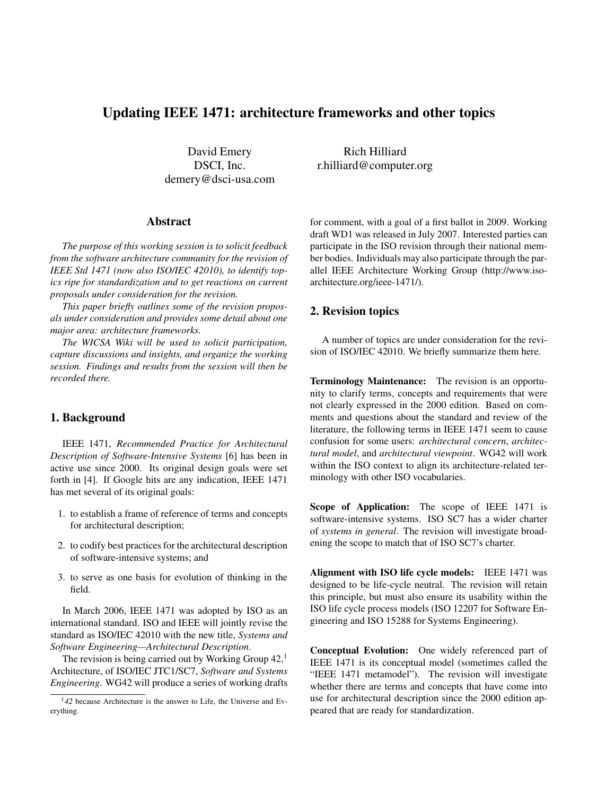# Updating IEEE 1471: architecture frameworks and other topics

David Emery DSCI, Inc. demery@dsci-usa.com

#### Abstract

*The purpose of this working session is to solicit feedback from the software architecture community for the revision of IEEE Std 1471 (now also ISO/IEC 42010), to identify topics ripe for standardization and to get reactions on current proposals under consideration for the revision.*

*This paper briefly outlines some of the revision proposals under consideration and provides some detail about one major area: architecture frameworks.*

*The WICSA Wiki will be used to solicit participation, capture discussions and insights, and organize the working session. Findings and results from the session will then be recorded there.*

## 1. Background

IEEE 1471, *Recommended Practice for Architectural Description of Software-Intensive Systems* [6] has been in active use since 2000. Its original design goals were set forth in [4]. If Google hits are any indication, IEEE 1471 has met several of its original goals:

- 1. to establish a frame of reference of terms and concepts for architectural description;
- 2. to codify best practices for the architectural description of software-intensive systems; and
- 3. to serve as one basis for evolution of thinking in the field.

In March 2006, IEEE 1471 was adopted by ISO as an international standard. ISO and IEEE will jointly revise the standard as ISO/IEC 42010 with the new title, *Systems and Software Engineering—Architectural Description*.

The revision is being carried out by Working Group  $42<sup>1</sup>$ Architecture, of ISO/IEC JTC1/SC7, *Software and Systems Engineering*. WG42 will produce a series of working drafts

Rich Hilliard r.hilliard@computer.org

for comment, with a goal of a first ballot in 2009. Working draft WD1 was released in July 2007. Interested parties can participate in the ISO revision through their national member bodies. Individuals may also participate through the parallel IEEE Architecture Working Group (http://www.isoarchitecture.org/ieee-1471/).

## 2. Revision topics

A number of topics are under consideration for the revision of ISO/IEC 42010. We briefly summarize them here.

Terminology Maintenance: The revision is an opportunity to clarify terms, concepts and requirements that were not clearly expressed in the 2000 edition. Based on comments and questions about the standard and review of the literature, the following terms in IEEE 1471 seem to cause confusion for some users: *architectural concern*, *architectural model*, and *architectural viewpoint*. WG42 will work within the ISO context to align its architecture-related terminology with other ISO vocabularies.

Scope of Application: The scope of IEEE 1471 is software-intensive systems. ISO SC7 has a wider charter of *systems in general*. The revision will investigate broadening the scope to match that of ISO SC7's charter.

Alignment with ISO life cycle models: IEEE 1471 was designed to be life-cycle neutral. The revision will retain this principle, but must also ensure its usability within the ISO life cycle process models (ISO 12207 for Software Engineering and ISO 15288 for Systems Engineering).

Conceptual Evolution: One widely referenced part of IEEE 1471 is its conceptual model (sometimes called the "IEEE 1471 metamodel"). The revision will investigate whether there are terms and concepts that have come into use for architectural description since the 2000 edition appeared that are ready for standardization.

<sup>1</sup>*42* because Architecture is the answer to Life, the Universe and Everything.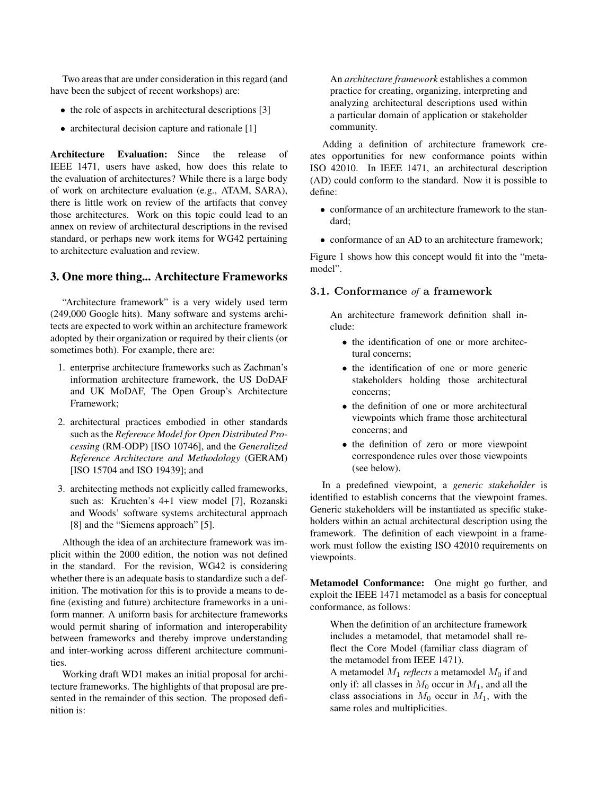Two areas that are under consideration in this regard (and have been the subject of recent workshops) are:

- the role of aspects in architectural descriptions [3]
- architectural decision capture and rationale [1]

Architecture Evaluation: Since the release of IEEE 1471, users have asked, how does this relate to the evaluation of architectures? While there is a large body of work on architecture evaluation (e.g., ATAM, SARA), there is little work on review of the artifacts that convey those architectures. Work on this topic could lead to an annex on review of architectural descriptions in the revised standard, or perhaps new work items for WG42 pertaining to architecture evaluation and review.

## 3. One more thing... Architecture Frameworks

"Architecture framework" is a very widely used term (249,000 Google hits). Many software and systems architects are expected to work within an architecture framework adopted by their organization or required by their clients (or sometimes both). For example, there are:

- 1. enterprise architecture frameworks such as Zachman's information architecture framework, the US DoDAF and UK MoDAF, The Open Group's Architecture Framework;
- 2. architectural practices embodied in other standards such as the *Reference Model for Open Distributed Processing* (RM-ODP) [ISO 10746], and the *Generalized Reference Architecture and Methodology* (GERAM) [ISO 15704 and ISO 19439]; and
- 3. architecting methods not explicitly called frameworks, such as: Kruchten's 4+1 view model [7], Rozanski and Woods' software systems architectural approach [8] and the "Siemens approach" [5].

Although the idea of an architecture framework was implicit within the 2000 edition, the notion was not defined in the standard. For the revision, WG42 is considering whether there is an adequate basis to standardize such a definition. The motivation for this is to provide a means to define (existing and future) architecture frameworks in a uniform manner. A uniform basis for architecture frameworks would permit sharing of information and interoperability between frameworks and thereby improve understanding and inter-working across different architecture communities.

Working draft WD1 makes an initial proposal for architecture frameworks. The highlights of that proposal are presented in the remainder of this section. The proposed definition is:

An *architecture framework* establishes a common practice for creating, organizing, interpreting and analyzing architectural descriptions used within a particular domain of application or stakeholder community.

Adding a definition of architecture framework creates opportunities for new conformance points within ISO 42010. In IEEE 1471, an architectural description (AD) could conform to the standard. Now it is possible to define:

- conformance of an architecture framework to the standard;
- conformance of an AD to an architecture framework:

Figure 1 shows how this concept would fit into the "metamodel".

## 3.1. Conformance *of* a framework

An architecture framework definition shall include:

- the identification of one or more architectural concerns;
- the identification of one or more generic stakeholders holding those architectural concerns;
- the definition of one or more architectural viewpoints which frame those architectural concerns; and
- the definition of zero or more viewpoint correspondence rules over those viewpoints (see below).

In a predefined viewpoint, a *generic stakeholder* is identified to establish concerns that the viewpoint frames. Generic stakeholders will be instantiated as specific stakeholders within an actual architectural description using the framework. The definition of each viewpoint in a framework must follow the existing ISO 42010 requirements on viewpoints.

Metamodel Conformance: One might go further, and exploit the IEEE 1471 metamodel as a basis for conceptual conformance, as follows:

When the definition of an architecture framework includes a metamodel, that metamodel shall reflect the Core Model (familiar class diagram of the metamodel from IEEE 1471).

A metamodel  $M_1$  *reflects* a metamodel  $M_0$  if and only if: all classes in  $M_0$  occur in  $M_1$ , and all the class associations in  $M_0$  occur in  $M_1$ , with the same roles and multiplicities.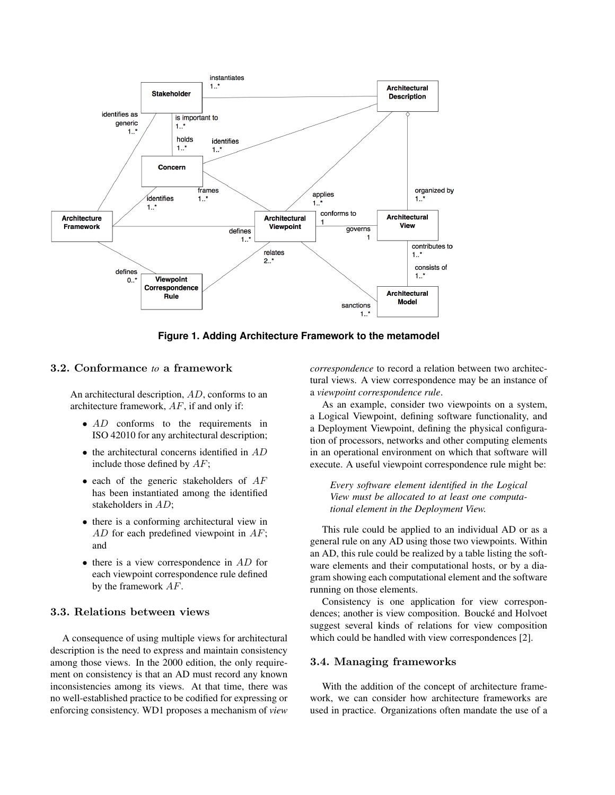

**Figure 1. Adding Architecture Framework to the metamodel**

## 3.2. Conformance *to* a framework

An architectural description, AD, conforms to an architecture framework, AF, if and only if:

- AD conforms to the requirements in ISO 42010 for any architectural description;
- $\bullet$  the architectural concerns identified in  $AD$ include those defined by  $AF$ ;
- $\bullet$  each of the generic stakeholders of  $AF$ has been instantiated among the identified stakeholders in AD;
- there is a conforming architectural view in AD for each predefined viewpoint in AF; and
- $\bullet$  there is a view correspondence in  $AD$  for each viewpoint correspondence rule defined by the framework AF.

#### 3.3. Relations between views

A consequence of using multiple views for architectural description is the need to express and maintain consistency among those views. In the 2000 edition, the only requirement on consistency is that an AD must record any known inconsistencies among its views. At that time, there was no well-established practice to be codified for expressing or enforcing consistency. WD1 proposes a mechanism of *view* *correspondence* to record a relation between two architectural views. A view correspondence may be an instance of a *viewpoint correspondence rule*.

As an example, consider two viewpoints on a system, a Logical Viewpoint, defining software functionality, and a Deployment Viewpoint, defining the physical configuration of processors, networks and other computing elements in an operational environment on which that software will execute. A useful viewpoint correspondence rule might be:

*Every software element identified in the Logical View must be allocated to at least one computational element in the Deployment View.*

This rule could be applied to an individual AD or as a general rule on any AD using those two viewpoints. Within an AD, this rule could be realized by a table listing the software elements and their computational hosts, or by a diagram showing each computational element and the software running on those elements.

Consistency is one application for view correspondences; another is view composition. Boucké and Holvoet suggest several kinds of relations for view composition which could be handled with view correspondences [2].

#### 3.4. Managing frameworks

With the addition of the concept of architecture framework, we can consider how architecture frameworks are used in practice. Organizations often mandate the use of a